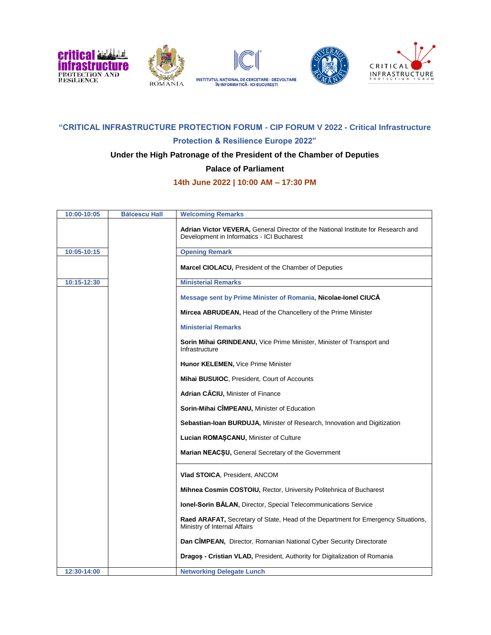





## **"CRITICAL INFRASTRUCTURE PROTECTION FORUM - CIP FORUM V 2022 - Critical Infrastructure**

#### **Protection & Resilience Europe 2022"**

#### **Under the High Patronage of the President of the Chamber of Deputies**

**Palace of Parliament**

## **14th June 2022 | 10:00 AM – 17:30 PM**

| 10:00-10:05 | <b>Bălcescu Hall</b> | <b>Welcoming Remarks</b>                                                                                                               |
|-------------|----------------------|----------------------------------------------------------------------------------------------------------------------------------------|
|             |                      | <b>Adrian Victor VEVERA, General Director of the National Institute for Research and</b><br>Development in Informatics - ICI Bucharest |
| 10:05-10:15 |                      | <b>Opening Remark</b>                                                                                                                  |
|             |                      | Marcel CIOLACU, President of the Chamber of Deputies                                                                                   |
| 10:15-12:30 |                      | <b>Ministerial Remarks</b>                                                                                                             |
|             |                      | Message sent by Prime Minister of Romania, Nicolae-Ionel CIUCA                                                                         |
|             |                      | <b>Mircea ABRUDEAN, Head of the Chancellery of the Prime Minister</b>                                                                  |
|             |                      | <b>Ministerial Remarks</b>                                                                                                             |
|             |                      | Sorin Mihai GRINDEANU, Vice Prime Minister, Minister of Transport and<br>Infrastructure                                                |
|             |                      | <b>Hunor KELEMEN, Vice Prime Minister</b>                                                                                              |
|             |                      | Mihai BUSUIOC, President, Court of Accounts                                                                                            |
|             |                      | Adrian CÂCIU, Minister of Finance                                                                                                      |
|             |                      | Sorin-Mihai CIMPEANU, Minister of Education                                                                                            |
|             |                      | Sebastian-Ioan BURDUJA, Minister of Research, Innovation and Digitization                                                              |
|             |                      | Lucian ROMASCANU, Minister of Culture                                                                                                  |
|             |                      | <b>Marian NEACSU, General Secretary of the Government</b>                                                                              |
|             |                      | <b>Vlad STOICA, President, ANCOM</b>                                                                                                   |
|             |                      | Mihnea Cosmin COSTOIU, Rector, University Politehnica of Bucharest                                                                     |
|             |                      | Ionel-Sorin BALAN, Director, Special Telecommunications Service                                                                        |
|             |                      | Raed ARAFAT, Secretary of State, Head of the Department for Emergency Situations,<br>Ministry of Internal Affairs                      |
|             |                      | Dan CÎMPEAN, Director, Romanian National Cyber Security Directorate                                                                    |
|             |                      | Dragos - Cristian VLAD, President, Authority for Digitalization of Romania                                                             |
| 12:30-14:00 |                      | <b>Networking Delegate Lunch</b>                                                                                                       |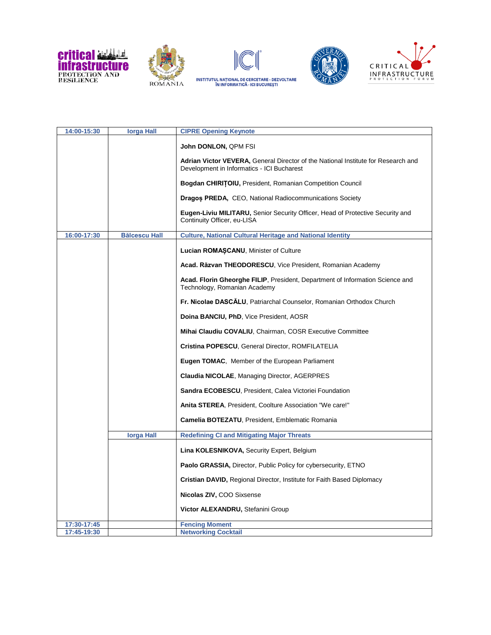









| 14:00-15:30 | lorga Hall           | <b>CIPRE Opening Keynote</b>                                                                                                    |
|-------------|----------------------|---------------------------------------------------------------------------------------------------------------------------------|
|             |                      | John DONLON, QPM FSI                                                                                                            |
|             |                      | Adrian Victor VEVERA, General Director of the National Institute for Research and<br>Development in Informatics - ICI Bucharest |
|             |                      | <b>Bogdan CHIRITOIU, President, Romanian Competition Council</b>                                                                |
|             |                      | <b>Dragos PREDA, CEO, National Radiocommunications Society</b>                                                                  |
|             |                      | <b>Eugen-Liviu MILITARU, Senior Security Officer, Head of Protective Security and</b><br>Continuity Officer, eu-LISA            |
| 16:00-17:30 | <b>Bălcescu Hall</b> | <b>Culture, National Cultural Heritage and National Identity</b>                                                                |
|             |                      | Lucian ROMASCANU, Minister of Culture                                                                                           |
|             |                      | Acad. Răzvan THEODORESCU, Vice President, Romanian Academy                                                                      |
|             |                      | Acad. Florin Gheorghe FILIP, President, Department of Information Science and<br>Technology, Romanian Academy                   |
|             |                      | Fr. Nicolae DASCALU, Patriarchal Counselor, Romanian Orthodox Church                                                            |
|             |                      | Doina BANCIU, PhD, Vice President, AOSR                                                                                         |
|             |                      | Mihai Claudiu COVALIU, Chairman, COSR Executive Committee                                                                       |
|             |                      | <b>Cristina POPESCU, General Director, ROMFILATELIA</b>                                                                         |
|             |                      | Eugen TOMAC, Member of the European Parliament                                                                                  |
|             |                      | <b>Claudia NICOLAE, Managing Director, AGERPRES</b>                                                                             |
|             |                      | <b>Sandra ECOBESCU, President, Calea Victoriei Foundation</b>                                                                   |
|             |                      | Anita STEREA, President, Coolture Association "We care!"                                                                        |
|             |                      | Camelia BOTEZATU, President, Emblematic Romania                                                                                 |
|             | <b>lorga Hall</b>    | <b>Redefining CI and Mitigating Major Threats</b>                                                                               |
|             |                      | <b>Lina KOLESNIKOVA, Security Expert, Belgium</b>                                                                               |
|             |                      | <b>Paolo GRASSIA, Director, Public Policy for cybersecurity, ETNO</b>                                                           |
|             |                      | Cristian DAVID, Regional Director, Institute for Faith Based Diplomacy                                                          |
|             |                      | Nicolas ZIV, COO Sixsense                                                                                                       |
|             |                      | Victor ALEXANDRU, Stefanini Group                                                                                               |
| 17:30-17:45 |                      | <b>Fencing Moment</b>                                                                                                           |
| 17:45-19:30 |                      | <b>Networking Cocktail</b>                                                                                                      |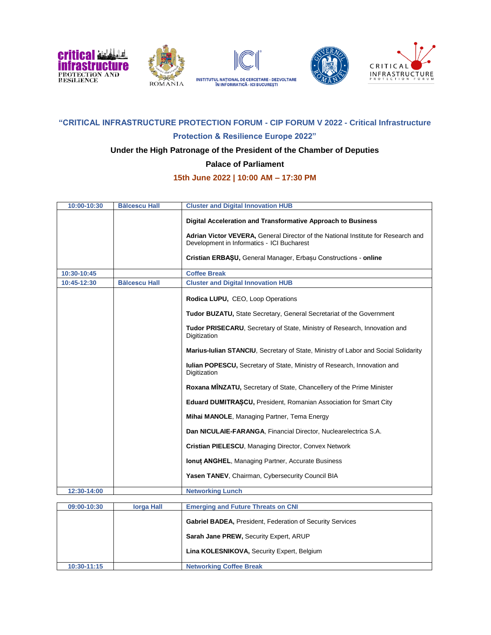



# **"CRITICAL INFRASTRUCTURE PROTECTION FORUM - CIP FORUM V 2022 - Critical Infrastructure**

#### **Protection & Resilience Europe 2022"**

## **Under the High Patronage of the President of the Chamber of Deputies**

#### **Palace of Parliament**

#### **15th June 2022 | 10:00 AM – 17:30 PM**

| 10:00-10:30 | <b>Bălcescu Hall</b> | <b>Cluster and Digital Innovation HUB</b>                                                                                       |
|-------------|----------------------|---------------------------------------------------------------------------------------------------------------------------------|
|             |                      | Digital Acceleration and Transformative Approach to Business                                                                    |
|             |                      | Adrian Victor VEVERA, General Director of the National Institute for Research and<br>Development in Informatics - ICI Bucharest |
|             |                      | Cristian ERBASU, General Manager, Erbasu Constructions - online                                                                 |
| 10:30-10:45 |                      | <b>Coffee Break</b>                                                                                                             |
| 10:45-12:30 | <b>Bălcescu Hall</b> | <b>Cluster and Digital Innovation HUB</b>                                                                                       |
|             |                      | Rodica LUPU, CEO, Loop Operations                                                                                               |
|             |                      | Tudor BUZATU, State Secretary, General Secretariat of the Government                                                            |
|             |                      | Tudor PRISECARU, Secretary of State, Ministry of Research, Innovation and<br>Digitization                                       |
|             |                      | Marius-Iulian STANCIU, Secretary of State, Ministry of Labor and Social Solidarity                                              |
|             |                      | <b>Iulian POPESCU, Secretary of State, Ministry of Research, Innovation and</b><br>Digitization                                 |
|             |                      | <b>Roxana MINZATU, Secretary of State, Chancellery of the Prime Minister</b>                                                    |
|             |                      | <b>Eduard DUMITRASCU, President, Romanian Association for Smart City</b>                                                        |
|             |                      | Mihai MANOLE, Managing Partner, Tema Energy                                                                                     |
|             |                      | Dan NICULAIE-FARANGA, Financial Director, Nuclearelectrica S.A.                                                                 |
|             |                      | Cristian PIELESCU, Managing Director, Convex Network                                                                            |
|             |                      | <b>Ionut ANGHEL, Managing Partner, Accurate Business</b>                                                                        |
|             |                      | Yasen TANEV, Chairman, Cybersecurity Council BIA                                                                                |
| 12:30-14:00 |                      | <b>Networking Lunch</b>                                                                                                         |
| 09:00-10:30 | <b>lorga Hall</b>    | <b>Emerging and Future Threats on CNI</b>                                                                                       |

| 09:00-10:30 | <b>lorga Hall</b> | <b>Emerging and Future Threats on CNI</b>                        |
|-------------|-------------------|------------------------------------------------------------------|
|             |                   | <b>Gabriel BADEA, President, Federation of Security Services</b> |
|             |                   | Sarah Jane PREW, Security Expert, ARUP                           |
|             |                   | Lina KOLESNIKOVA, Security Expert, Belgium                       |
| 10:30-11:15 |                   | <b>Networking Coffee Break</b>                                   |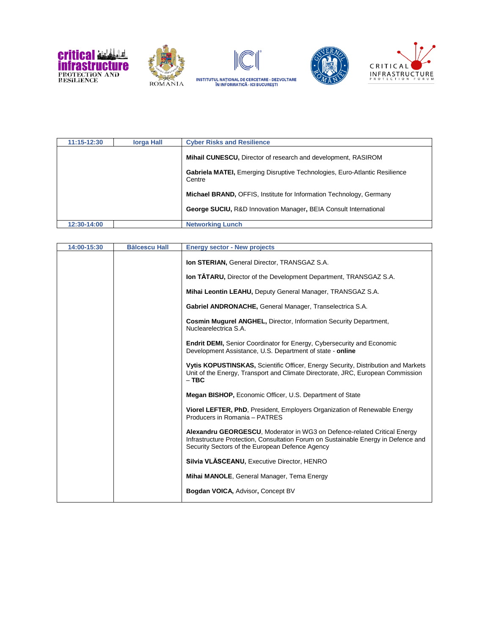









| 11:15-12:30 | <b>lorga Hall</b> | <b>Cyber Risks and Resilience</b>                                                           |
|-------------|-------------------|---------------------------------------------------------------------------------------------|
|             |                   | <b>Mihail CUNESCU, Director of research and development, RASIROM</b>                        |
|             |                   | <b>Gabriela MATEI, Emerging Disruptive Technologies, Euro-Atlantic Resilience</b><br>Centre |
|             |                   | Michael BRAND, OFFIS, Institute for Information Technology, Germany                         |
|             |                   | <b>George SUCIU, R&amp;D Innovation Manager, BEIA Consult International</b>                 |
| 12:30-14:00 |                   | <b>Networking Lunch</b>                                                                     |

| 14:00-15:30 | <b>Bălcescu Hall</b> | <b>Energy sector - New projects</b>                                                                                                                                                                               |
|-------------|----------------------|-------------------------------------------------------------------------------------------------------------------------------------------------------------------------------------------------------------------|
|             |                      | <b>Ion STERIAN, General Director, TRANSGAZ S.A.</b>                                                                                                                                                               |
|             |                      | <b>Ion TATARU, Director of the Development Department, TRANSGAZ S.A.</b>                                                                                                                                          |
|             |                      | Mihai Leontin LEAHU, Deputy General Manager, TRANSGAZ S.A.                                                                                                                                                        |
|             |                      | Gabriel ANDRONACHE, General Manager, Transelectrica S.A.                                                                                                                                                          |
|             |                      | Cosmin Mugurel ANGHEL, Director, Information Security Department,<br>Nuclearelectrica S.A.                                                                                                                        |
|             |                      | <b>Endrit DEMI, Senior Coordinator for Energy, Cybersecurity and Economic</b><br>Development Assistance, U.S. Department of state - online                                                                        |
|             |                      | Vytis KOPUSTINSKAS, Scientific Officer, Energy Security, Distribution and Markets<br>Unit of the Energy, Transport and Climate Directorate, JRC, European Commission<br>$-$ TBC                                   |
|             |                      | Megan BISHOP, Economic Officer, U.S. Department of State                                                                                                                                                          |
|             |                      | Viorel LEFTER, PhD, President, Employers Organization of Renewable Energy<br>Producers in Romania - PATRES                                                                                                        |
|             |                      | Alexandru GEORGESCU, Moderator in WG3 on Defence-related Critical Energy<br>Infrastructure Protection, Consultation Forum on Sustainable Energy in Defence and<br>Security Sectors of the European Defence Agency |
|             |                      | Silvia VLĂSCEANU, Executive Director, HENRO                                                                                                                                                                       |
|             |                      | Mihai MANOLE, General Manager, Tema Energy                                                                                                                                                                        |
|             |                      | Bogdan VOICA, Advisor, Concept BV                                                                                                                                                                                 |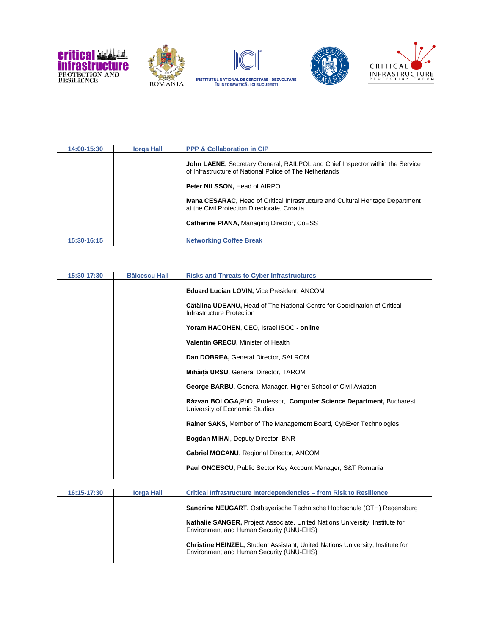









| 14:00-15:30 | lorga Hall | <b>PPP &amp; Collaboration in CIP</b>                                                                                                           |
|-------------|------------|-------------------------------------------------------------------------------------------------------------------------------------------------|
|             |            | <b>John LAENE, Secretary General, RAILPOL and Chief Inspector within the Service</b><br>of Infrastructure of National Police of The Netherlands |
|             |            | <b>Peter NILSSON, Head of AIRPOL</b>                                                                                                            |
|             |            | <b>Ivana CESARAC, Head of Critical Infrastructure and Cultural Heritage Department</b><br>at the Civil Protection Directorate, Croatia          |
|             |            | <b>Catherine PIANA, Managing Director, CoESS</b>                                                                                                |
| 15:30-16:15 |            | <b>Networking Coffee Break</b>                                                                                                                  |

| 15:30-17:30 | <b>Bălcescu Hall</b> | <b>Risks and Threats to Cyber Infrastructures</b>                                                       |
|-------------|----------------------|---------------------------------------------------------------------------------------------------------|
|             |                      | Eduard Lucian LOVIN, Vice President, ANCOM                                                              |
|             |                      | Cătălina UDEANU, Head of The National Centre for Coordination of Critical<br>Infrastructure Protection  |
|             |                      | Yoram HACOHEN, CEO, Israel ISOC - online                                                                |
|             |                      | <b>Valentin GRECU, Minister of Health</b>                                                               |
|             |                      | Dan DOBREA, General Director, SALROM                                                                    |
|             |                      | Mihăiță URSU, General Director, TAROM                                                                   |
|             |                      | George BARBU, General Manager, Higher School of Civil Aviation                                          |
|             |                      | Räzvan BOLOGA, PhD, Professor, Computer Science Department, Bucharest<br>University of Economic Studies |
|             |                      | <b>Rainer SAKS, Member of The Management Board, CybExer Technologies</b>                                |
|             |                      | <b>Bogdan MIHAI, Deputy Director, BNR</b>                                                               |
|             |                      | <b>Gabriel MOCANU, Regional Director, ANCOM</b>                                                         |
|             |                      | <b>Paul ONCESCU, Public Sector Key Account Manager, S&amp;T Romania</b>                                 |

| 16:15-17:30 | <b>lorga Hall</b> | Critical Infrastructure Interdependencies - from Risk to Resilience                                                               |
|-------------|-------------------|-----------------------------------------------------------------------------------------------------------------------------------|
|             |                   | <b>Sandrine NEUGART, Ostbayerische Technische Hochschule (OTH) Regensburg</b>                                                     |
|             |                   | Nathalie SÄNGER, Project Associate, United Nations University, Institute for<br>Environment and Human Security (UNU-EHS)          |
|             |                   | <b>Christine HEINZEL, Student Assistant, United Nations University, Institute for</b><br>Environment and Human Security (UNU-EHS) |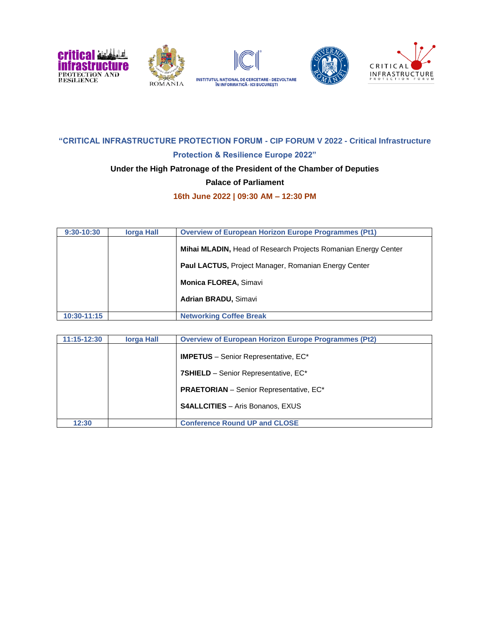

## **"CRITICAL INFRASTRUCTURE PROTECTION FORUM - CIP FORUM V 2022 - Critical Infrastructure Protection & Resilience Europe 2022"**

## **Under the High Patronage of the President of the Chamber of Deputies**

#### **Palace of Parliament**

**16th June 2022 | 09:30 AM – 12:30 PM**

| 9:30-10:30  | lorga Hall | <b>Overview of European Horizon Europe Programmes (Pt1)</b>    |
|-------------|------------|----------------------------------------------------------------|
|             |            | Mihai MLADIN, Head of Research Projects Romanian Energy Center |
|             |            | <b>Paul LACTUS, Project Manager, Romanian Energy Center</b>    |
|             |            | <b>Monica FLOREA, Simavi</b>                                   |
|             |            | <b>Adrian BRADU, Simavi</b>                                    |
| 10:30-11:15 |            | <b>Networking Coffee Break</b>                                 |

| 11:15-12:30 | <b>lorga Hall</b> | <b>Overview of European Horizon Europe Programmes (Pt2)</b> |
|-------------|-------------------|-------------------------------------------------------------|
|             |                   | <b>IMPETUS</b> – Senior Representative, EC*                 |
|             |                   | 7SHIELD - Senior Representative, EC*                        |
|             |                   | <b>PRAETORIAN</b> – Senior Representative, EC*              |
|             |                   | <b>S4ALLCITIES</b> - Aris Bonanos, EXUS                     |
| 12:30       |                   | <b>Conference Round UP and CLOSE</b>                        |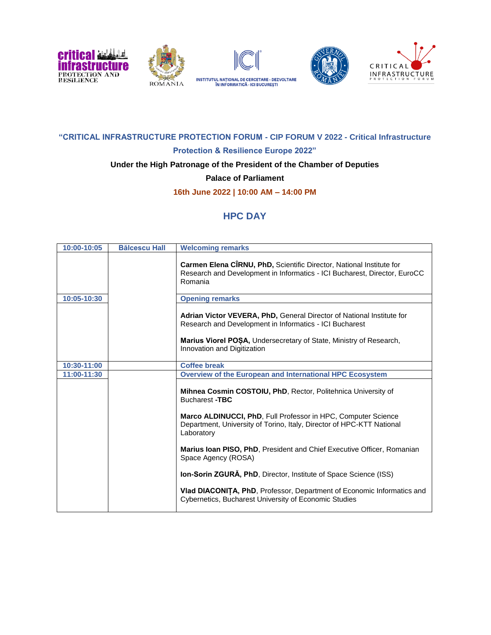



# **"CRITICAL INFRASTRUCTURE PROTECTION FORUM - CIP FORUM V 2022 - Critical Infrastructure**

# **Protection & Resilience Europe 2022"**

## **Under the High Patronage of the President of the Chamber of Deputies**

**Palace of Parliament**

**16th June 2022 | 10:00 AM – 14:00 PM**

# **HPC DAY**

| 10:00-10:05 | <b>Bălcescu Hall</b> | <b>Welcoming remarks</b>                                                                                                                                                                                                              |
|-------------|----------------------|---------------------------------------------------------------------------------------------------------------------------------------------------------------------------------------------------------------------------------------|
|             |                      | Carmen Elena CIRNU, PhD, Scientific Director, National Institute for<br>Research and Development in Informatics - ICI Bucharest, Director, EuroCC<br>Romania                                                                          |
| 10:05-10:30 |                      | <b>Opening remarks</b>                                                                                                                                                                                                                |
|             |                      | Adrian Victor VEVERA, PhD, General Director of National Institute for<br>Research and Development in Informatics - ICI Bucharest<br>Marius Viorel POSA, Undersecretary of State, Ministry of Research,<br>Innovation and Digitization |
| 10:30-11:00 |                      | <b>Coffee break</b>                                                                                                                                                                                                                   |
| 11:00-11:30 |                      | Overview of the European and International HPC Ecosystem                                                                                                                                                                              |
|             |                      | Mihnea Cosmin COSTOIU, PhD, Rector, Politehnica University of<br><b>Bucharest -TBC</b>                                                                                                                                                |
|             |                      | Marco ALDINUCCI, PhD, Full Professor in HPC, Computer Science<br>Department, University of Torino, Italy, Director of HPC-KTT National<br>Laboratory                                                                                  |
|             |                      | Marius Ioan PISO, PhD, President and Chief Executive Officer, Romanian<br>Space Agency (ROSA)                                                                                                                                         |
|             |                      | <b>Ion-Sorin ZGURA, PhD, Director, Institute of Space Science (ISS)</b>                                                                                                                                                               |
|             |                      | Vlad DIACONITA, PhD, Professor, Department of Economic Informatics and<br>Cybernetics, Bucharest University of Economic Studies                                                                                                       |